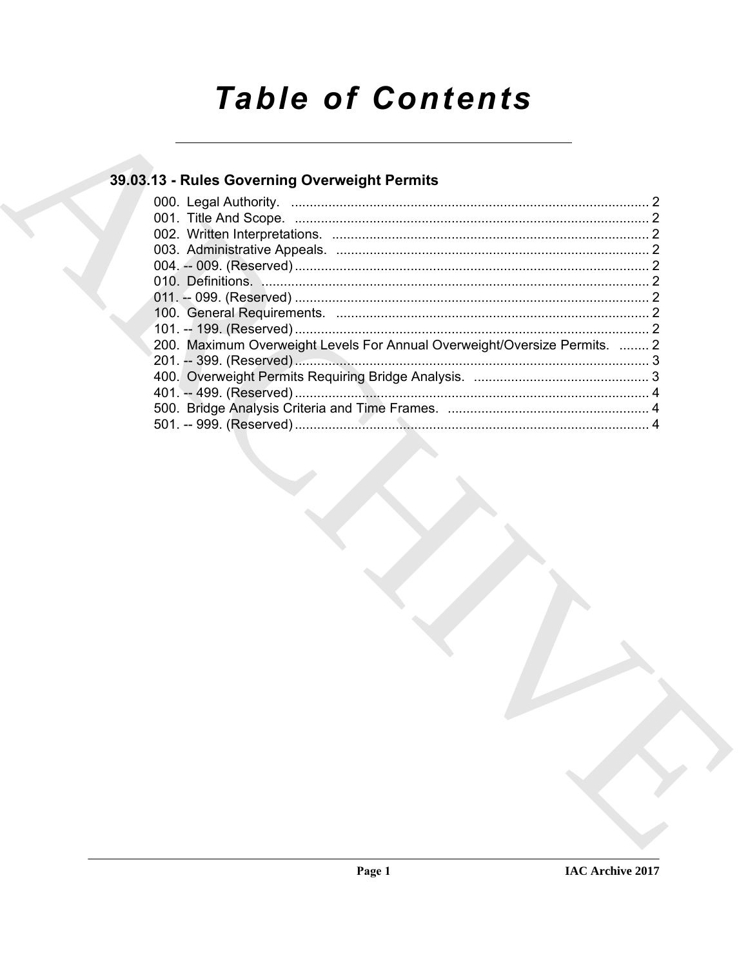# **Table of Contents**

## 39.03.13 - Rules Governing Overweight Permits

| 200. Maximum Overweight Levels For Annual Overweight/Oversize Permits.  2 |  |
|---------------------------------------------------------------------------|--|
|                                                                           |  |
|                                                                           |  |
|                                                                           |  |
|                                                                           |  |
|                                                                           |  |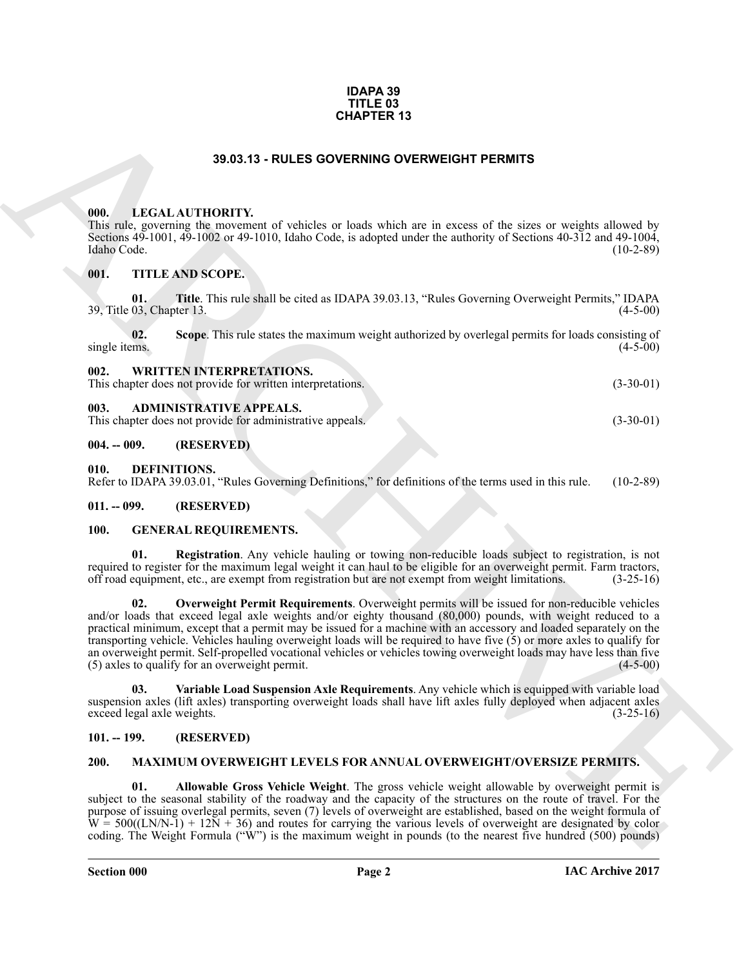#### **IDAPA 39 TITLE 03 CHAPTER 13**

#### **39.03.13 - RULES GOVERNING OVERWEIGHT PERMITS**

#### <span id="page-1-1"></span><span id="page-1-0"></span>**000. LEGAL AUTHORITY.**

This rule, governing the movement of vehicles or loads which are in excess of the sizes or weights allowed by Sections 49-1001, 49-1002 or 49-1010, Idaho Code, is adopted under the authority of Sections 40-312 and 49-1004, Idaho Code. (10-2-89)

#### <span id="page-1-2"></span>**001. TITLE AND SCOPE.**

**01. Title**. This rule shall be cited as IDAPA 39.03.13, "Rules Governing Overweight Permits," IDAPA 39, Title 03, Chapter 13.

**02.** Scope. This rule states the maximum weight authorized by overlegal permits for loads consisting of single items. (4-5-00)  $\text{single items.}$  (4-5-00)

## <span id="page-1-3"></span>**002. WRITTEN INTERPRETATIONS.** This chapter does not provide for written interpretations. (3-30-01)

#### <span id="page-1-4"></span>**003. ADMINISTRATIVE APPEALS.**

| This chapter does not provide for administrative appeals. | $(3-30-01)$ |
|-----------------------------------------------------------|-------------|
|-----------------------------------------------------------|-------------|

#### <span id="page-1-5"></span>**004. -- 009. (RESERVED)**

#### <span id="page-1-11"></span><span id="page-1-6"></span>**010. DEFINITIONS.**

Refer to IDAPA 39.03.01, "Rules Governing Definitions," for definitions of the terms used in this rule. (10-2-89)

#### <span id="page-1-7"></span>**011. -- 099. (RESERVED)**

#### <span id="page-1-14"></span><span id="page-1-12"></span><span id="page-1-8"></span>**100. GENERAL REQUIREMENTS.**

<span id="page-1-13"></span>**01. Registration**. Any vehicle hauling or towing non-reducible loads subject to registration, is not required to register for the maximum legal weight it can haul to be eligible for an overweight permit. Farm tractors, off road equipment, etc., are exempt from registration but are not exempt from weight limitations. (3-25-16)

**39.03.13 - RULES GOVERNING OVERWIEGHT PERMITS<br>
WELL ALTIFORTY, and scholar of the same of the same of the size or weights allowed by<br>
ARCHIVER CORRESPONDING the same of the same of the same of the same of the same of the 02. Overweight Permit Requirements**. Overweight permits will be issued for non-reducible vehicles and/or loads that exceed legal axle weights and/or eighty thousand (80,000) pounds, with weight reduced to a practical minimum, except that a permit may be issued for a machine with an accessory and loaded separately on the transporting vehicle. Vehicles hauling overweight loads will be required to have five (5) or more axles to qualify for an overweight permit. Self-propelled vocational vehicles or vehicles towing overweight loads may have less than five<br>(5) axles to qualify for an overweight permit.  $(5)$  axles to qualify for an overweight permit.

<span id="page-1-15"></span>**03. Variable Load Suspension Axle Requirements**. Any vehicle which is equipped with variable load suspension axles (lift axles) transporting overweight loads shall have lift axles fully deployed when adjacent axles exceed legal axle weights. (3-25-16)

#### <span id="page-1-9"></span>**101. -- 199. (RESERVED)**

#### <span id="page-1-16"></span><span id="page-1-10"></span>**200. MAXIMUM OVERWEIGHT LEVELS FOR ANNUAL OVERWEIGHT/OVERSIZE PERMITS.**

<span id="page-1-17"></span>**01. Allowable Gross Vehicle Weight**. The gross vehicle weight allowable by overweight permit is subject to the seasonal stability of the roadway and the capacity of the structures on the route of travel. For the purpose of issuing overlegal permits, seven (7) levels of overweight are established, based on the weight formula of  $W = 500((LN/N-1) + 12N + 36)$  and routes for carrying the various levels of overweight are designated by color coding. The Weight Formula ("W") is the maximum weight in pounds (to the nearest five hundred (500) pounds)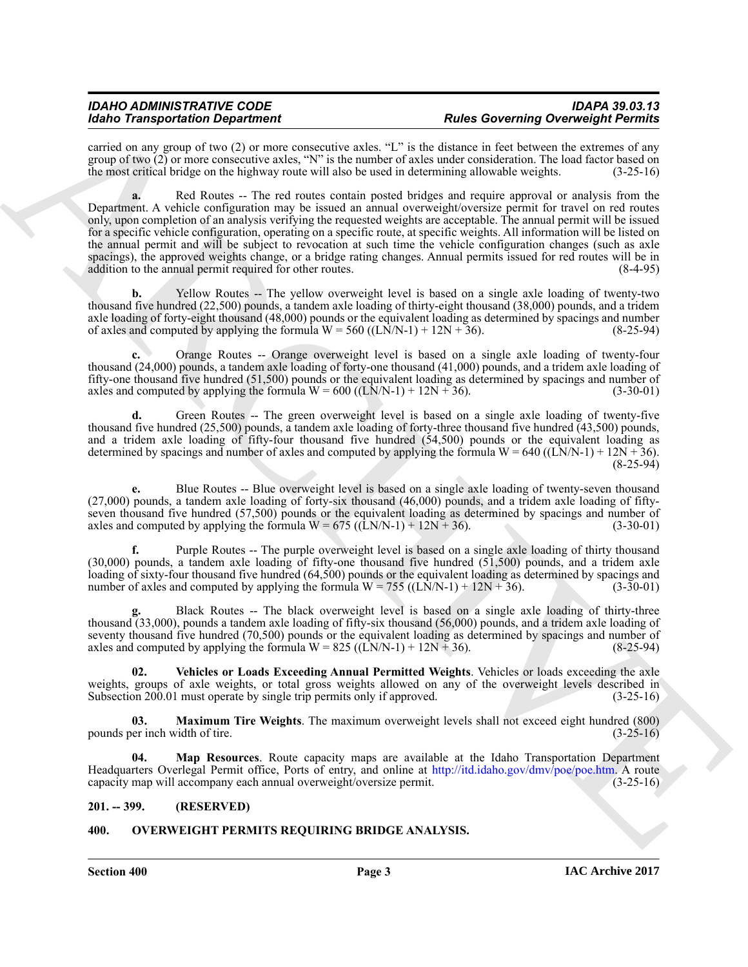carried on any group of two (2) or more consecutive axles. "L" is the distance in feet between the extremes of any group of two  $(2)$  or more consecutive axles, "N" is the number of axles under consideration. The load factor based on the most critical bridge on the highway route will also be used in determining allowable weights.  $(3$ the most critical bridge on the highway route will also be used in determining allowable weights.

More Transportation Department in the set of the set of the Bowler Contribute Contribute Control in the set of the set of the set of the set of the set of the set of the set of the set of the set of the set of the set of **a.** Red Routes -- The red routes contain posted bridges and require approval or analysis from the Department. A vehicle configuration may be issued an annual overweight/oversize permit for travel on red routes only, upon completion of an analysis verifying the requested weights are acceptable. The annual permit will be issued for a specific vehicle configuration, operating on a specific route, at specific weights. All information will be listed on the annual permit and will be subject to revocation at such time the vehicle configuration changes (such as axle spacings), the approved weights change, or a bridge rating changes. Annual permits issued for red routes will be in addition to the annual permit required for other routes. (8-4-95) addition to the annual permit required for other routes.

**b.** Yellow Routes -- The yellow overweight level is based on a single axle loading of twenty-two thousand five hundred (22,500) pounds, a tandem axle loading of thirty-eight thousand (38,000) pounds, and a tridem axle loading of forty-eight thousand (48,000) pounds or the equivalent loading as determined by spacings and number of axles and computed by applying the formula  $W = 560 ((LN/N-1) + 12N + 36)$ . (8-25-94)

Orange Routes -- Orange overweight level is based on a single axle loading of twenty-four thousand (24,000) pounds, a tandem axle loading of forty-one thousand (41,000) pounds, and a tridem axle loading of fifty-one thousand five hundred (51,500) pounds or the equivalent loading as determined by spacings and number of axles and computed by applying the formula  $W = 600 ((LN/N-1) + 12N + 36)$ . (3-30-01)

**d.** Green Routes -- The green overweight level is based on a single axle loading of twenty-five thousand five hundred (25,500) pounds, a tandem axle loading of forty-three thousand five hundred (43,500) pounds, and a tridem axle loading of fifty-four thousand five hundred (54,500) pounds or the equivalent loading as determined by spacings and number of axles and computed by applying the formula  $W = 640$  ((LN/N-1) + 12N + 36). (8-25-94)

**e.** Blue Routes -- Blue overweight level is based on a single axle loading of twenty-seven thousand (27,000) pounds, a tandem axle loading of forty-six thousand (46,000) pounds, and a tridem axle loading of fiftyseven thousand five hundred (57,500) pounds or the equivalent loading as determined by spacings and number of axles and computed by applying the formula  $W = 675$  ((LN/N-1) + 12N + 36). (3-30-01) axles and computed by applying the formula  $W = 675$  ((LN/N-1) + 12N + 36).

**f.** Purple Routes -- The purple overweight level is based on a single axle loading of thirty thousand (30,000) pounds, a tandem axle loading of fifty-one thousand five hundred (51,500) pounds, and a tridem axle loading of sixty-four thousand five hundred (64,500) pounds or the equivalent loading as determined by spacings and number of axles and computed by applying the formula  $W = 755 ((LN/N-1) + 12N + 36)$ . (3-30-01)

**g.** Black Routes -- The black overweight level is based on a single axle loading of thirty-three thousand (33,000), pounds a tandem axle loading of fifty-six thousand (56,000) pounds, and a tridem axle loading of seventy thousand five hundred (70,500) pounds or the equivalent loading as determined by spacings and number of axles and computed by applying the formula  $W = 825 ((LN/N-1) + 12N + 36)$ . (8-25-94)

<span id="page-2-4"></span>**02. Vehicles or Loads Exceeding Annual Permitted Weights**. Vehicles or loads exceeding the axle weights, groups of axle weights, or total gross weights allowed on any of the overweight levels described in Subsection 200.01 must operate by single trip permits only if approved. (3-25-16) Subsection 200.01 must operate by single trip permits only if approved.

<span id="page-2-3"></span>**03. Maximum Tire Weights**. The maximum overweight levels shall not exceed eight hundred (800) pounds per inch width of tire. (3-25-16)

<span id="page-2-2"></span>**04. Map Resources**. Route capacity maps are available at the Idaho Transportation Department Headquarters Overlegal Permit office, Ports of entry, and online at http://itd.idaho.gov/dmv/poe/poe.htm. A route capacity map will accompany each annual overweight/oversize permit. (3-25-16) capacity map will accompany each annual overweight/oversize permit.

#### <span id="page-2-0"></span>**201. -- 399. (RESERVED)**

#### <span id="page-2-5"></span><span id="page-2-1"></span>**400. OVERWEIGHT PERMITS REQUIRING BRIDGE ANALYSIS.**

**Section 400 Page 3**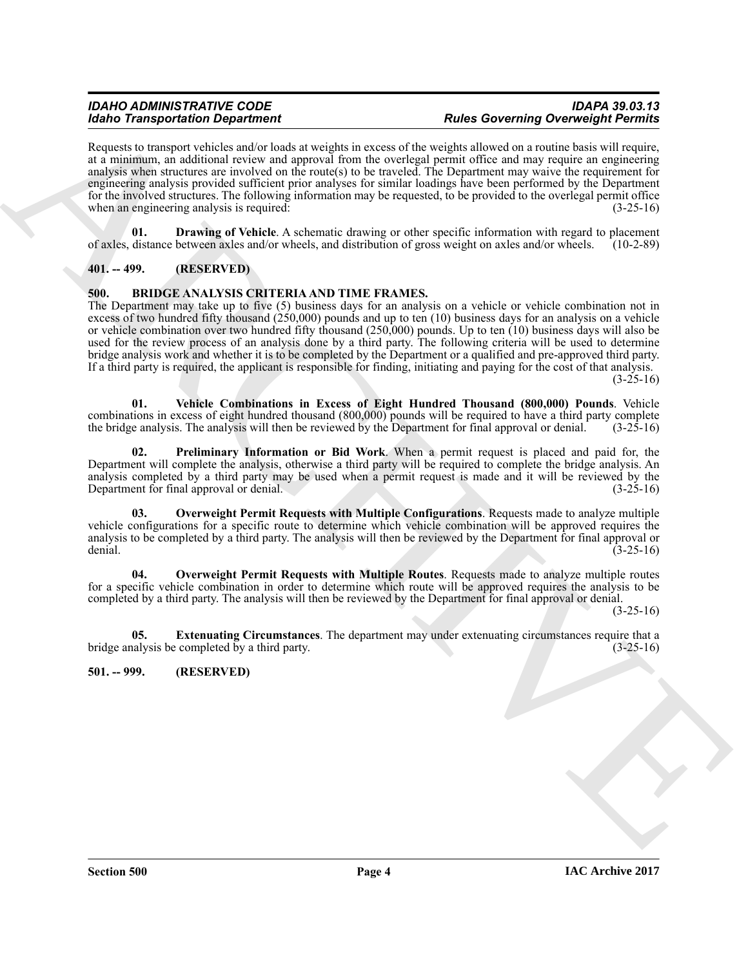Requests to transport vehicles and/or loads at weights in excess of the weights allowed on a routine basis will require, at a minimum, an additional review and approval from the overlegal permit office and may require an engineering analysis when structures are involved on the route(s) to be traveled. The Department may waive the requirement for engineering analysis provided sufficient prior analyses for similar loadings have been performed by the Department for the involved structures. The following information may be requested, to be provided to the overlegal permit office when an engineering analysis is required: (3-25-16) (3-25-16)

<span id="page-3-9"></span>**01. Drawing of Vehicle**. A schematic drawing or other specific information with regard to placement distance between axles and/or wheels, and distribution of gross weight on axles and/or wheels. (10-2-89) of axles, distance between axles and/or wheels, and distribution of gross weight on axles and/or wheels.

### <span id="page-3-0"></span>**401. -- 499. (RESERVED)**

#### <span id="page-3-3"></span><span id="page-3-1"></span>**500. BRIDGE ANALYSIS CRITERIA AND TIME FRAMES.**

More Transport continuous materials at a straight at a state of the Governing October 2018 and the state of the state of the state of the state of the state of the state of the state of the state of the state of the state The Department may take up to five (5) business days for an analysis on a vehicle or vehicle combination not in excess of two hundred fifty thousand (250,000) pounds and up to ten (10) business days for an analysis on a vehicle or vehicle combination over two hundred fifty thousand (250,000) pounds. Up to ten (10) business days will also be used for the review process of an analysis done by a third party. The following criteria will be used to determine bridge analysis work and whether it is to be completed by the Department or a qualified and pre-approved third party. If a third party is required, the applicant is responsible for finding, initiating and paying for the cost of that analysis.  $(3-25-16)$ 

<span id="page-3-8"></span>**01. Vehicle Combinations in Excess of Eight Hundred Thousand (800,000) Pounds**. Vehicle combinations in excess of eight hundred thousand (800,000) pounds will be required to have a third party complete the bridge analysis. The analysis will then be reviewed by the Department for final approval or denial. (3-2 the bridge analysis. The analysis will then be reviewed by the Department for final approval or denial.

<span id="page-3-7"></span>**02. Preliminary Information or Bid Work**. When a permit request is placed and paid for, the Department will complete the analysis, otherwise a third party will be required to complete the bridge analysis. An analysis completed by a third party may be used when a permit request is made and it will be reviewed by the Department for final approval or denial. Department for final approval or denial.

<span id="page-3-5"></span>**03. Overweight Permit Requests with Multiple Configurations**. Requests made to analyze multiple vehicle configurations for a specific route to determine which vehicle combination will be approved requires the analysis to be completed by a third party. The analysis will then be reviewed by the Department for final approval or denial.  $(3-25-16)$ 

<span id="page-3-6"></span>**04. Overweight Permit Requests with Multiple Routes**. Requests made to analyze multiple routes for a specific vehicle combination in order to determine which route will be approved requires the analysis to be completed by a third party. The analysis will then be reviewed by the Department for final approval or denial.

 $(3-25-16)$ 

<span id="page-3-4"></span>**05. Extenuating Circumstances**. The department may under extenuating circumstances require that a halysis be completed by a third party. bridge analysis be completed by a third party.

#### <span id="page-3-2"></span>**501. -- 999. (RESERVED)**